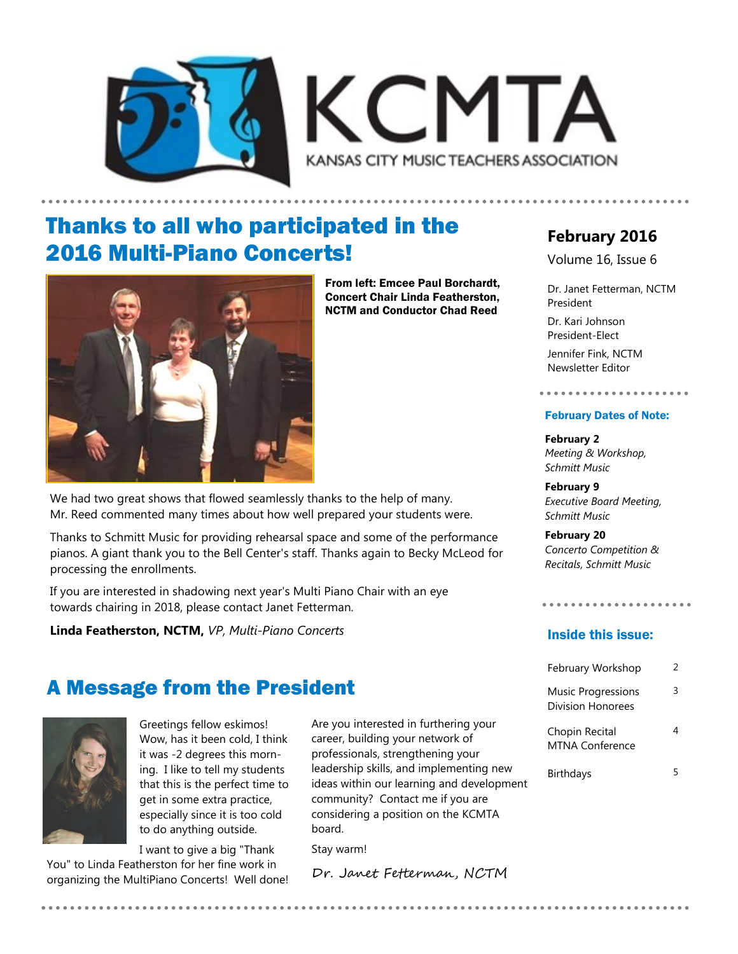



## Thanks to all who participated in the 2016 Multi-Piano Concerts!



From left: Emcee Paul Borchardt, Concert Chair Linda Featherston, NCTM and Conductor Chad Reed

We had two great shows that flowed seamlessly thanks to the help of many. Mr. Reed commented many times about how well prepared your students were.

Thanks to Schmitt Music for providing rehearsal space and some of the performance pianos. A giant thank you to the Bell Center's staff. Thanks again to Becky McLeod for processing the enrollments.

If you are interested in shadowing next year's Multi Piano Chair with an eye towards chairing in 2018, please contact Janet Fetterman.

**Linda Featherston, NCTM,** *VP, Multi-Piano Concerts*

### A Message from the President



Greetings fellow eskimos! Wow, has it been cold, I think it was -2 degrees this morning. I like to tell my students that this is the perfect time to get in some extra practice, especially since it is too cold to do anything outside.

I want to give a big "Thank

You" to Linda Featherston for her fine work in organizing the MultiPiano Concerts! Well done! Are you interested in furthering your career, building your network of professionals, strengthening your leadership skills, and implementing new ideas within our learning and development community? Contact me if you are considering a position on the KCMTA board.

Stay warm!

Dr. Janet Fetterman, NCTM

### **February 2016**

Volume 16, Issue 6

Dr. Janet Fetterman, NCTM President Dr. Kari Johnson President-Elect Jennifer Fink, NCTM

Newsletter Editor

### February Dates of Note:

**February 2** *Meeting & Workshop, Schmitt Music*

**February 9** *Executive Board Meeting, Schmitt Music*

**February 20** *Concerto Competition & Recitals, Schmitt Music*

#### Inside this issue:

| February Workshop                              | 2 |
|------------------------------------------------|---|
| <b>Music Progressions</b><br>Division Honorees | ς |
| Chopin Recital<br><b>MTNA Conference</b>       |   |
| Birthdays                                      | 5 |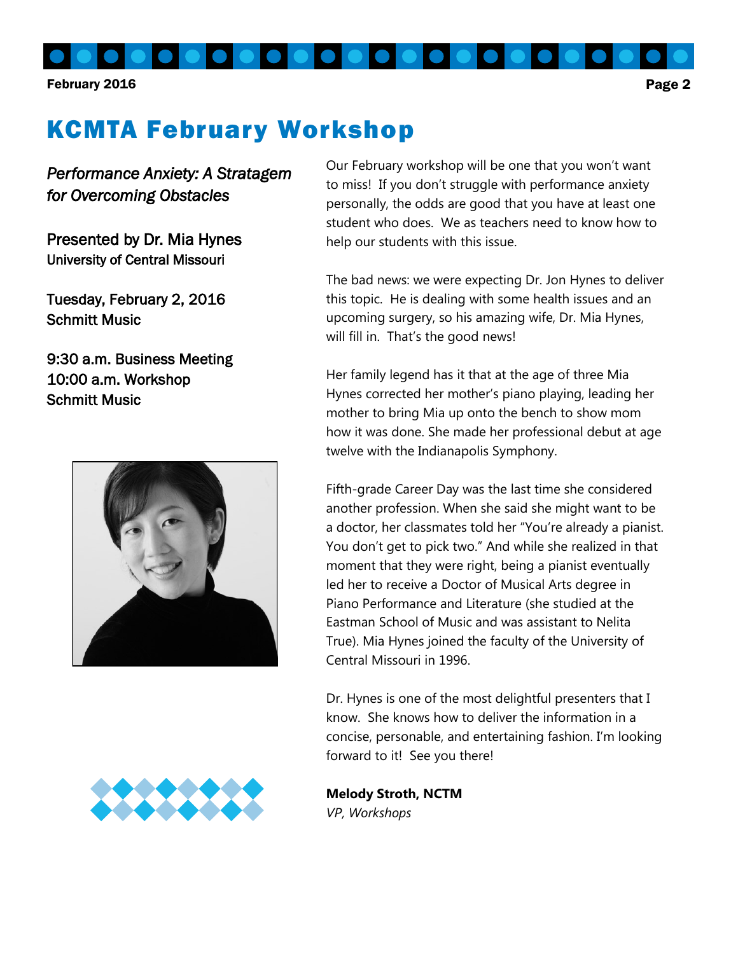February 2016 Page 2

# KCMTA February Workshop

*Performance Anxiety: A Stratagem for Overcoming Obstacles* 

Presented by Dr. Mia Hynes University of Central Missouri

Tuesday, February 2, 2016 Schmitt Music

9:30 a.m. Business Meeting 10:00 a.m. Workshop Schmitt Music



Our February workshop will be one that you won't want to miss! If you don't struggle with performance anxiety personally, the odds are good that you have at least one student who does. We as teachers need to know how to help our students with this issue.

The bad news: we were expecting Dr. Jon Hynes to deliver this topic. He is dealing with some health issues and an upcoming surgery, so his amazing wife, Dr. Mia Hynes, will fill in. That's the good news!

Her family legend has it that at the age of three Mia Hynes corrected her mother's piano playing, leading her mother to bring Mia up onto the bench to show mom how it was done. She made her professional debut at age twelve with the Indianapolis Symphony.

Fifth-grade Career Day was the last time she considered another profession. When she said she might want to be a doctor, her classmates told her "You're already a pianist. You don't get to pick two." And while she realized in that moment that they were right, being a pianist eventually led her to receive a Doctor of Musical Arts degree in Piano Performance and Literature (she studied at the Eastman School of Music and was assistant to Nelita True). Mia Hynes joined the faculty of the University of Central Missouri in 1996.

Dr. Hynes is one of the most delightful presenters that I know. She knows how to deliver the information in a concise, personable, and entertaining fashion. I'm looking forward to it! See you there!



**Melody Stroth, NCTM** *VP, Workshops*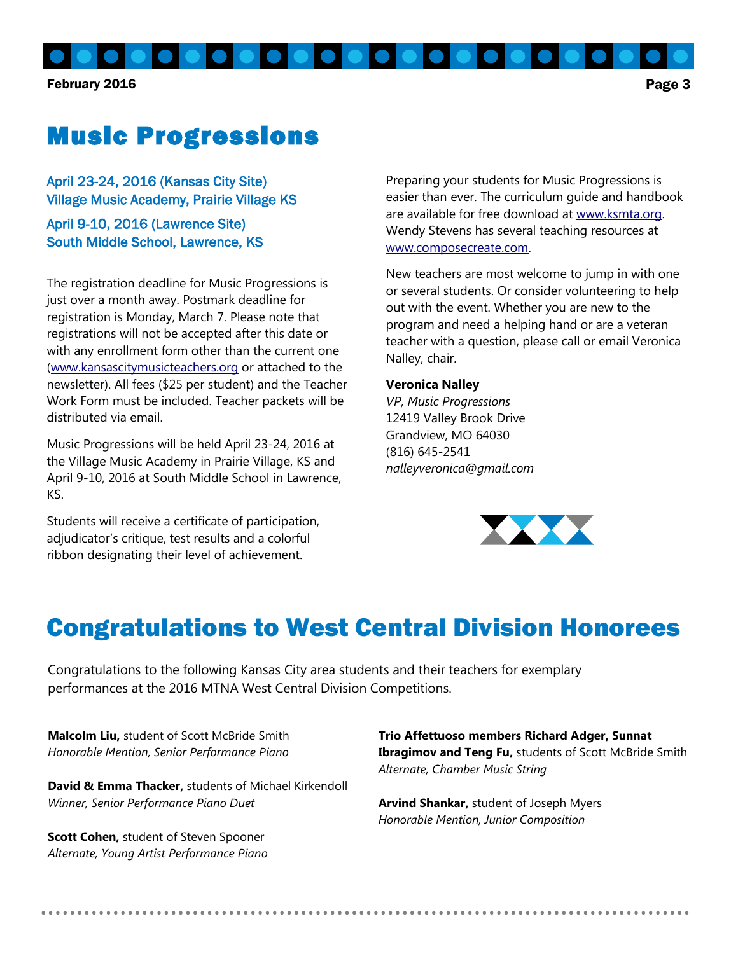February 2016 **Page 3** 

# Music Progressions

April 23-24, 2016 (Kansas City Site) Village Music Academy, Prairie Village KS

April 9-10, 2016 (Lawrence Site) South Middle School, Lawrence, KS

The registration deadline for Music Progressions is just over a month away. Postmark deadline for registration is Monday, March 7. Please note that registrations will not be accepted after this date or with any enrollment form other than the current one [\(www.kansascitymusicteachers.org](http://kansascitymusicteachers.org/student-programs/music-progressions/) or attached to the newsletter). All fees (\$25 per student) and the Teacher Work Form must be included. Teacher packets will be distributed via email.

Music Progressions will be held April 23-24, 2016 at the Village Music Academy in Prairie Village, KS and April 9-10, 2016 at South Middle School in Lawrence, KS.

Students will receive a certificate of participation, adjudicator's critique, test results and a colorful ribbon designating their level of achievement.

Preparing your students for Music Progressions is easier than ever. The curriculum guide and handbook are available for free download at [www.ksmta.org.](http://ksmta.org/musicprogressions.php)  Wendy Stevens has several teaching resources at [www.composecreate.com.](http://www.composecreate.com) 

New teachers are most welcome to jump in with one or several students. Or consider volunteering to help out with the event. Whether you are new to the program and need a helping hand or are a veteran teacher with a question, please call or email Veronica Nalley, chair.

#### **Veronica Nalley**

*VP, Music Progressions* 12419 Valley Brook Drive Grandview, MO 64030 (816) 645-2541 *nalleyveronica@gmail.com*



## Congratulations to West Central Division Honorees

Congratulations to the following Kansas City area students and their teachers for exemplary performances at the 2016 MTNA West Central Division Competitions.

**Malcolm Liu,** student of Scott McBride Smith *Honorable Mention, Senior Performance Piano*

**David & Emma Thacker,** students of Michael Kirkendoll *Winner, Senior Performance Piano Duet*

**Scott Cohen,** student of Steven Spooner *Alternate, Young Artist Performance Piano*

**Trio Affettuoso members Richard Adger, Sunnat Ibragimov and Teng Fu,** students of Scott McBride Smith *Alternate, Chamber Music String*

**Arvind Shankar,** student of Joseph Myers *Honorable Mention, Junior Composition*

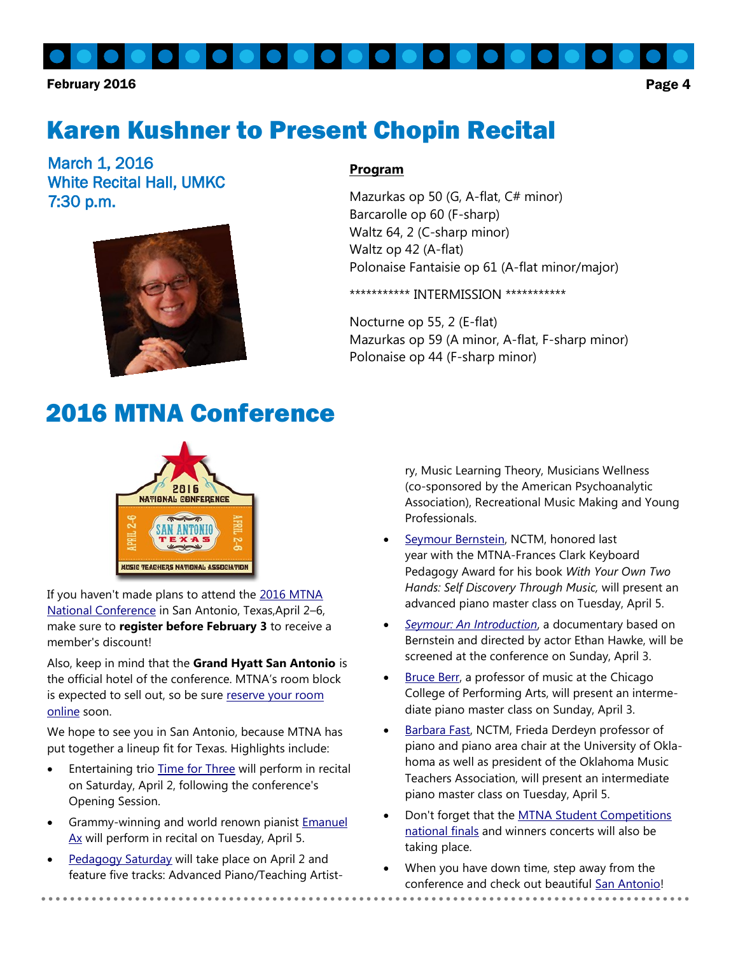February 2016 **Page 4** 

# Karen Kushner to Present Chopin Recital

March 1, 2016 White Recital Hall, UMKC 7:30 p.m.



#### **Program**

Mazurkas op 50 (G, A-flat, C# minor) Barcarolle op 60 (F-sharp) Waltz 64, 2 (C-sharp minor) Waltz op 42 (A-flat) Polonaise Fantaisie op 61 (A-flat minor/major)

\*\*\*\*\*\*\*\*\*\*\* INTERMISSION \*\*\*\*\*\*\*\*\*\*\*

Nocturne op 55, 2 (E-flat) Mazurkas op 59 (A minor, A-flat, F-sharp minor) Polonaise op 44 (F-sharp minor)

### 2016 MTNA Conference



If you haven't made plans to attend the 2016 MTNA [National Conference](http://mtna.informz.net/z/cjUucD9taT00OTM2MzMzJnA9MSZ1PTc3NTM2NjA3NSZsaT0zMjE0OTI3Ng/index.html) in San Antonio, Texas,April 2–6, make sure to **register before February 3** to receive a member's discount!

Also, keep in mind that the **Grand Hyatt San Antonio** is the official hotel of the conference. MTNA's room block is expected to sell out, so be sure reserve your room [online](http://mtna.informz.net/z/cjUucD9taT00OTM2MzMzJnA9MSZ1PTc3NTM2NjA3NSZsaT0zMjE0OTI3Nw/index.html) soon.

We hope to see you in San Antonio, because MTNA has put together a lineup fit for Texas. Highlights include:

- Entertaining trio [Time for Three](http://mtna.informz.net/z/cjUucD9taT00OTM2MzMzJnA9MSZ1PTc3NTM2NjA3NSZsaT0zMjE0OTI3OA/index.html) will perform in recital on Saturday, April 2, following the conference's Opening Session.
- Grammy-winning and world renown pianist [Emanuel](http://mtna.informz.net/z/cjUucD9taT00OTM2MzMzJnA9MSZ1PTc3NTM2NjA3NSZsaT0zMjE0OTI3OA/index.html)  [Ax](http://mtna.informz.net/z/cjUucD9taT00OTM2MzMzJnA9MSZ1PTc3NTM2NjA3NSZsaT0zMjE0OTI3OA/index.html) will perform in recital on Tuesday, April 5.
- [Pedagogy Saturday](http://mtna.informz.net/z/cjUucD9taT00OTM2MzMzJnA9MSZ1PTc3NTM2NjA3NSZsaT0zMjE0OTI3OQ/index.html) will take place on April 2 and feature five tracks: Advanced Piano/Teaching Artist-

ry, Music Learning Theory, Musicians Wellness (co-sponsored by the American Psychoanalytic Association), Recreational Music Making and Young Professionals.

- [Seymour Bernstein,](http://mtna.informz.net/z/cjUucD9taT00OTM2MzMzJnA9MSZ1PTc3NTM2NjA3NSZsaT0zMjE0OTI4MA/index.html) NCTM, honored last year with the MTNA-Frances Clark Keyboard Pedagogy Award for his book *With Your Own Two Hands: Self Discovery Through Music,* will present an advanced piano master class on Tuesday, April 5.
- *[Seymour: An Introduction](http://mtna.informz.net/z/cjUucD9taT00OTM2MzMzJnA9MSZ1PTc3NTM2NjA3NSZsaT0zMjE0OTI4MQ/index.html)*, a documentary based on Bernstein and directed by actor Ethan Hawke, will be screened at the conference on Sunday, April 3.
- [Bruce Berr,](http://mtna.informz.net/z/cjUucD9taT00OTM2MzMzJnA9MSZ1PTc3NTM2NjA3NSZsaT0zMjE0OTI4MA/index.html) a professor of music at the Chicago College of Performing Arts, will present an intermediate piano master class on Sunday, April 3.
- [Barbara Fast,](http://mtna.informz.net/z/cjUucD9taT00OTM2MzMzJnA9MSZ1PTc3NTM2NjA3NSZsaT0zMjE0OTI4MA/index.html) NCTM, Frieda Derdeyn professor of piano and piano area chair at the University of Oklahoma as well as president of the Oklahoma Music Teachers Association, will present an intermediate piano master class on Tuesday, April 5.
- Don't forget that the [MTNA Student Competitions](http://mtna.informz.net/z/cjUucD9taT00OTM2MzMzJnA9MSZ1PTc3NTM2NjA3NSZsaT0zMjE0OTI4Mg/index.html)  [national finals](http://mtna.informz.net/z/cjUucD9taT00OTM2MzMzJnA9MSZ1PTc3NTM2NjA3NSZsaT0zMjE0OTI4Mg/index.html) and winners concerts will also be taking place.
- When you have down time, step away from the conference and check out beautiful [San Antonio!](http://mtna.informz.net/z/cjUucD9taT00OTM2MzMzJnA9MSZ1PTc3NTM2NjA3NSZsaT0zMjE0OTI4Mw/index.html)